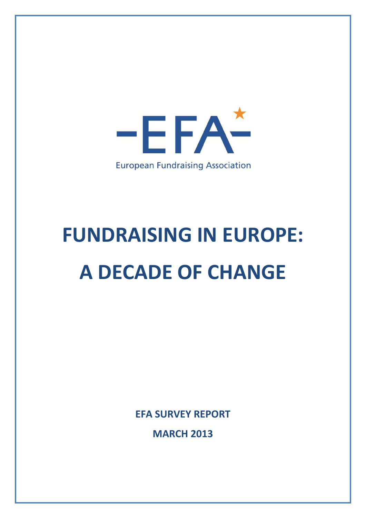

# **FUNDRAISING IN EUROPE: A DECADE OF CHANGE**

**EFA SURVEY REPORT**

**MARCH 2013**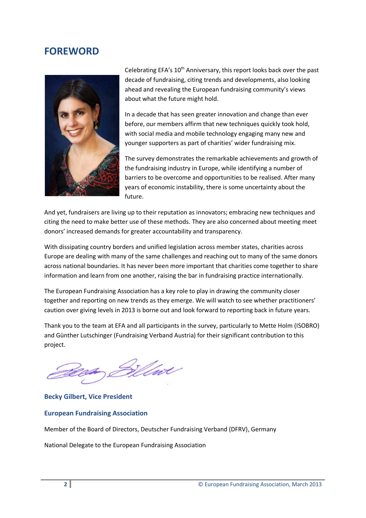### **FOREWORD**



Celebrating EFA's  $10<sup>th</sup>$  Anniversary, this report looks back over the past decade of fundraising, citing trends and developments, also looking ahead and revealing the European fundraising community's views about what the future might hold.

In a decade that has seen greater innovation and change than ever before, our members affirm that new techniques quickly took hold, with social media and mobile technology engaging many new and younger supporters as part of charities' wider fundraising mix.

The survey demonstrates the remarkable achievements and growth of the fundraising industry in Europe, while identifying a number of barriers to be overcome and opportunities to be realised. After many years of economic instability, there is some uncertainty about the future.

And yet, fundraisers are living up to their reputation as innovators; embracing new techniques and citing the need to make better use of these methods. They are also concerned about meeting meet donors' increased demands for greater accountability and transparency.

With dissipating country borders and unified legislation across member states, charities across Europe are dealing with many of the same challenges and reaching out to many of the same donors across national boundaries. It has never been more important that charities come together to share information and learn from one another, raising the bar in fundraising practice internationally.

The European Fundraising Association has a key role to play in drawing the community closer together and reporting on new trends as they emerge. We will watch to see whether practitioners' caution over giving levels in 2013 is borne out and look forward to reporting back in future years.

Thank you to the team at EFA and all participants in the survey, particularly to Mette Holm (ISOBRO) and Günther Lutschinger (Fundraising Verband Austria) for their significant contribution to this project.

Wart

**Becky Gilbert, Vice President**

#### **European Fundraising Association**

Member of the Board of Directors, Deutscher Fundraising Verband (DFRV), Germany

National Delegate to the European Fundraising Association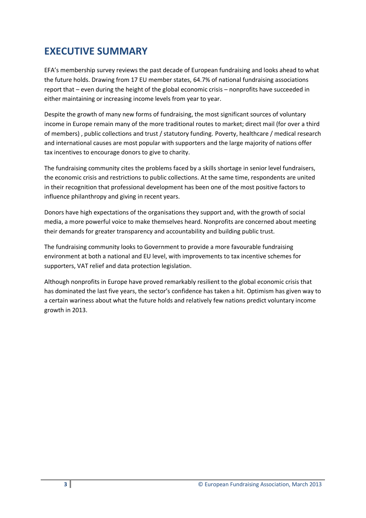## **EXECUTIVE SUMMARY**

EFA's membership survey reviews the past decade of European fundraising and looks ahead to what the future holds. Drawing from 17 EU member states, 64.7% of national fundraising associations report that – even during the height of the global economic crisis – nonprofits have succeeded in either maintaining or increasing income levels from year to year.

Despite the growth of many new forms of fundraising, the most significant sources of voluntary income in Europe remain many of the more traditional routes to market; direct mail (for over a third of members) , public collections and trust / statutory funding. Poverty, healthcare / medical research and international causes are most popular with supporters and the large majority of nations offer tax incentives to encourage donors to give to charity.

The fundraising community cites the problems faced by a skills shortage in senior level fundraisers, the economic crisis and restrictions to public collections. At the same time, respondents are united in their recognition that professional development has been one of the most positive factors to influence philanthropy and giving in recent years.

Donors have high expectations of the organisations they support and, with the growth of social media, a more powerful voice to make themselves heard. Nonprofits are concerned about meeting their demands for greater transparency and accountability and building public trust.

The fundraising community looks to Government to provide a more favourable fundraising environment at both a national and EU level, with improvements to tax incentive schemes for supporters, VAT relief and data protection legislation.

Although nonprofits in Europe have proved remarkably resilient to the global economic crisis that has dominated the last five years, the sector's confidence has taken a hit. Optimism has given way to a certain wariness about what the future holds and relatively few nations predict voluntary income growth in 2013.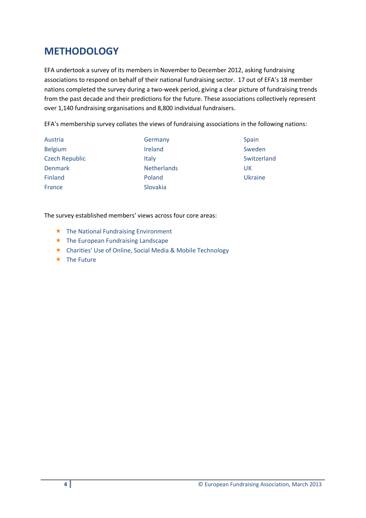## **METHODOLOGY**

EFA undertook a survey of its members in November to December 2012, asking fundraising associations to respond on behalf of their national fundraising sector. 17 out of EFA's 18 member nations completed the survey during a two-week period, giving a clear picture of fundraising trends from the past decade and their predictions for the future. These associations collectively represent over 1,140 fundraising organisations and 8,800 individual fundraisers.

EFA's membership survey collates the views of fundraising associations in the following nations:

| Austria               | Germany            | Spain       |
|-----------------------|--------------------|-------------|
| <b>Belgium</b>        | Ireland            | Sweden      |
| <b>Czech Republic</b> | Italy              | Switzerland |
| <b>Denmark</b>        | <b>Netherlands</b> | UK          |
| Finland               | Poland             | Ukraine     |
| France                | Slovakia           |             |

#### The survey established members' views across four core areas:

- $\star$  The National Fundraising Environment
- $\star$  The European Fundraising Landscape
- Charities' Use of Online, Social Media & Mobile Technology
- $\star$  The Future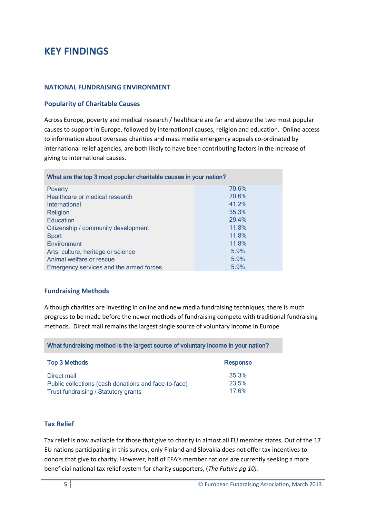## **KEY FINDINGS**

#### **NATIONAL FUNDRAISING ENVIRONMENT**

#### **Popularity of Charitable Causes**

Across Europe, poverty and medical research / healthcare are far and above the two most popular causes to support in Europe, followed by international causes, religion and education. Online access to information about overseas charities and mass media emergency appeals co-ordinated by international relief agencies, are both likely to have been contributing factors in the increase of giving to international causes.

| What are the top 3 most popular charitable causes in your nation? |       |  |
|-------------------------------------------------------------------|-------|--|
| <b>Poverty</b>                                                    | 70.6% |  |
| Healthcare or medical research                                    | 70.6% |  |
| International                                                     | 41.2% |  |
| Religion                                                          | 35.3% |  |
| Education                                                         | 29.4% |  |
| Citizenship / community development                               | 11.8% |  |
| Sport                                                             | 11.8% |  |
| Environment                                                       | 11.8% |  |
| Arts, culture, heritage or science                                | 5.9%  |  |
| Animal welfare or rescue                                          | 5.9%  |  |
| Emergency services and the armed forces                           | 5.9%  |  |

#### **Fundraising Methods**

Although charities are investing in online and new media fundraising techniques, there is much progress to be made before the newer methods of fundraising compete with traditional fundraising methods. Direct mail remains the largest single source of voluntary income in Europe.

What fundraising method is the largest source of voluntary income in your nation?

| <b>Top 3 Methods</b>                                 | Response |
|------------------------------------------------------|----------|
| Direct mail                                          | 35.3%    |
| Public collections (cash donations and face-to-face) | 23.5%    |
| Trust fundraising / Statutory grants                 | 17.6%    |

#### **Tax Relief**

Tax relief is now available for those that give to charity in almost all EU member states. Out of the 17 EU nations participating in this survey, only Finland and Slovakia does not offer tax incentives to donors that give to charity. However, half of EFA's member nations are currently seeking a more beneficial national tax relief system for charity supporters, (*The Future pg 10).*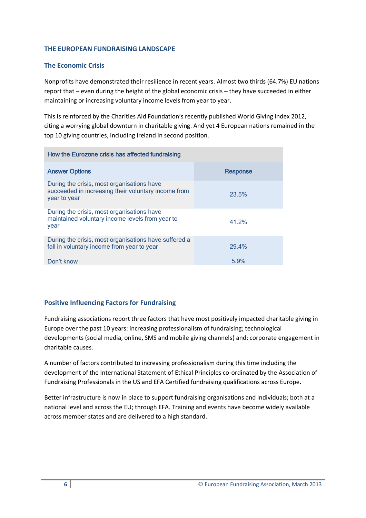#### **THE EUROPEAN FUNDRAISING LANDSCAPE**

#### **The Economic Crisis**

Nonprofits have demonstrated their resilience in recent years. Almost two thirds (64.7%) EU nations report that – even during the height of the global economic crisis – they have succeeded in either maintaining or increasing voluntary income levels from year to year.

This is reinforced by the Charities Aid Foundation's recently published World Giving Index 2012, citing a worrying global downturn in charitable giving. And yet 4 European nations remained in the top 10 giving countries, including Ireland in second position.

| How the Eurozone crisis has affected fundraising                                                                  |                 |  |
|-------------------------------------------------------------------------------------------------------------------|-----------------|--|
| <b>Answer Options</b>                                                                                             | <b>Response</b> |  |
| During the crisis, most organisations have<br>succeeded in increasing their voluntary income from<br>year to year | 23.5%           |  |
| During the crisis, most organisations have<br>maintained voluntary income levels from year to<br>year             | 41.2%           |  |
| During the crisis, most organisations have suffered a<br>fall in voluntary income from year to year               | 29.4%           |  |
| Don't know                                                                                                        | 5.9%            |  |

#### **Positive Influencing Factors for Fundraising**

Fundraising associations report three factors that have most positively impacted charitable giving in Europe over the past 10 years: increasing professionalism of fundraising; technological developments (social media, online, SMS and mobile giving channels) and; corporate engagement in charitable causes.

A number of factors contributed to increasing professionalism during this time including the development of the International Statement of Ethical Principles co-ordinated by the Association of Fundraising Professionals in the US and EFA Certified fundraising qualifications across Europe.

Better infrastructure is now in place to support fundraising organisations and individuals; both at a national level and across the EU; through EFA. Training and events have become widely available across member states and are delivered to a high standard.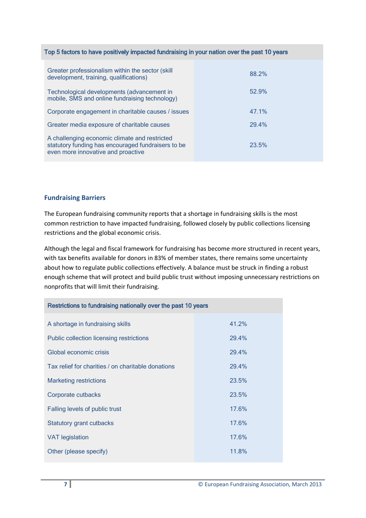| Top 5 factors to have positively impacted fundraising in your nation over the past 10 years                                               |       |  |
|-------------------------------------------------------------------------------------------------------------------------------------------|-------|--|
| Greater professionalism within the sector (skill<br>development, training, qualifications)                                                | 88.2% |  |
| Technological developments (advancement in<br>mobile, SMS and online fundraising technology)                                              | 52.9% |  |
| Corporate engagement in charitable causes / issues                                                                                        | 47.1% |  |
| Greater media exposure of charitable causes                                                                                               | 29.4% |  |
| A challenging economic climate and restricted<br>statutory funding has encouraged fundraisers to be<br>even more innovative and proactive | 23.5% |  |

#### **Fundraising Barriers**

The European fundraising community reports that a shortage in fundraising skills is the most common restriction to have impacted fundraising, followed closely by public collections licensing restrictions and the global economic crisis.

Although the legal and fiscal framework for fundraising has become more structured in recent years, with tax benefits available for donors in 83% of member states, there remains some uncertainty about how to regulate public collections effectively. A balance must be struck in finding a robust enough scheme that will protect and build public trust without imposing unnecessary restrictions on nonprofits that will limit their fundraising.

| Restrictions to fundraising nationally over the past 10 years |  |  |
|---------------------------------------------------------------|--|--|
| 41.2%                                                         |  |  |
| 29.4%                                                         |  |  |
| 29.4%                                                         |  |  |
| 29.4%                                                         |  |  |
| 23.5%                                                         |  |  |
| 23.5%                                                         |  |  |
| 17.6%                                                         |  |  |
| 17.6%                                                         |  |  |
| 17.6%                                                         |  |  |
| 11.8%                                                         |  |  |
|                                                               |  |  |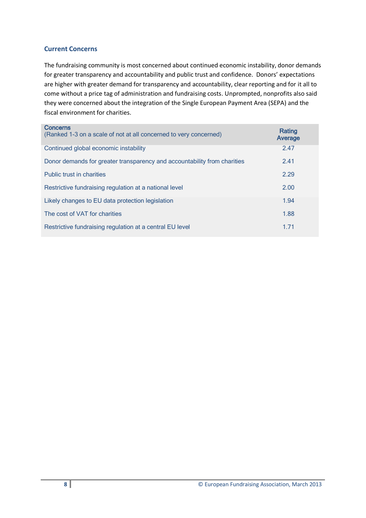#### **Current Concerns**

The fundraising community is most concerned about continued economic instability, donor demands for greater transparency and accountability and public trust and confidence. Donors' expectations are higher with greater demand for transparency and accountability, clear reporting and for it all to come without a price tag of administration and fundraising costs. Unprompted, nonprofits also said they were concerned about the integration of the Single European Payment Area (SEPA) and the fiscal environment for charities.

| <b>Concerns</b><br>(Ranked 1-3 on a scale of not at all concerned to very concerned) | Rating<br>Average |
|--------------------------------------------------------------------------------------|-------------------|
| Continued global economic instability                                                | 2.47              |
| Donor demands for greater transparency and accountability from charities             | 2.41              |
| <b>Public trust in charities</b>                                                     | 2.29              |
| Restrictive fundraising regulation at a national level                               | 2.00              |
| Likely changes to EU data protection legislation                                     | 1.94              |
| The cost of VAT for charities                                                        | 1.88              |
| Restrictive fundraising regulation at a central EU level                             | 1.71              |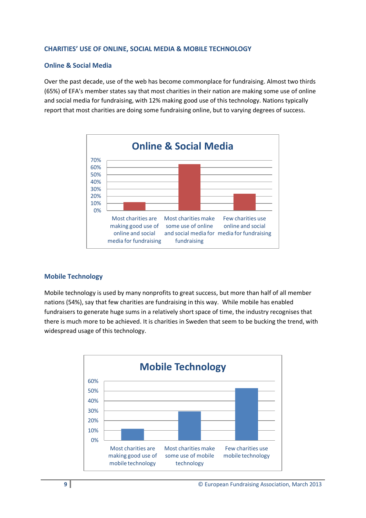#### **CHARITIES' USE OF ONLINE, SOCIAL MEDIA & MOBILE TECHNOLOGY**

#### **Online & Social Media**

Over the past decade, use of the web has become commonplace for fundraising. Almost two thirds (65%) of EFA's member states say that most charities in their nation are making some use of online and social media for fundraising, with 12% making good use of this technology. Nations typically report that most charities are doing some fundraising online, but to varying degrees of success.



#### **Mobile Technology**

Mobile technology is used by many nonprofits to great success, but more than half of all member nations (54%), say that few charities are fundraising in this way. While mobile has enabled fundraisers to generate huge sums in a relatively short space of time, the industry recognises that there is much more to be achieved. It is charities in Sweden that seem to be bucking the trend, with widespread usage of this technology.

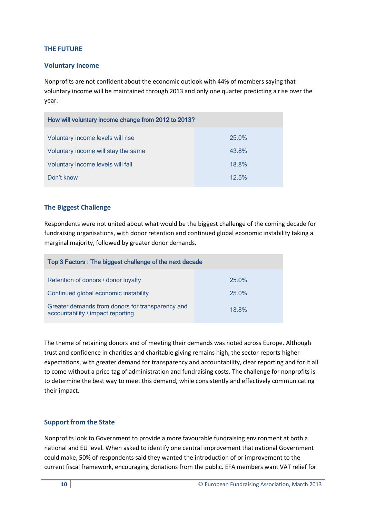#### **THE FUTURE**

#### **Voluntary Income**

Nonprofits are not confident about the economic outlook with 44% of members saying that voluntary income will be maintained through 2013 and only one quarter predicting a rise over the year.

| How will voluntary income change from 2012 to 2013? |       |  |
|-----------------------------------------------------|-------|--|
| Voluntary income levels will rise                   | 25.0% |  |
| Voluntary income will stay the same                 | 43.8% |  |
| Voluntary income levels will fall                   | 18.8% |  |
| Don't know                                          | 12.5% |  |

#### **The Biggest Challenge**

Respondents were not united about what would be the biggest challenge of the coming decade for fundraising organisations, with donor retention and continued global economic instability taking a marginal majority, followed by greater donor demands.

| Top 3 Factors: The biggest challenge of the next decade                               |          |  |
|---------------------------------------------------------------------------------------|----------|--|
| Retention of donors / donor loyalty                                                   | $25.0\%$ |  |
| Continued global economic instability                                                 | 25.0%    |  |
| Greater demands from donors for transparency and<br>accountability / impact reporting | 18.8%    |  |

The theme of retaining donors and of meeting their demands was noted across Europe. Although trust and confidence in charities and charitable giving remains high, the sector reports higher expectations, with greater demand for transparency and accountability, clear reporting and for it all to come without a price tag of administration and fundraising costs. The challenge for nonprofits is to determine the best way to meet this demand, while consistently and effectively communicating their impact.

#### **Support from the State**

Nonprofits look to Government to provide a more favourable fundraising environment at both a national and EU level. When asked to identify one central improvement that national Government could make, 50% of respondents said they wanted the introduction of or improvement to the current fiscal framework, encouraging donations from the public. EFA members want VAT relief for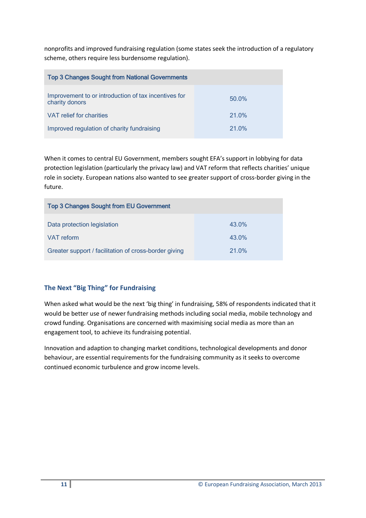nonprofits and improved fundraising regulation (some states seek the introduction of a regulatory scheme, others require less burdensome regulation).

| <b>Top 3 Changes Sought from National Governments</b>                  |          |
|------------------------------------------------------------------------|----------|
| Improvement to or introduction of tax incentives for<br>charity donors | $50.0\%$ |
| VAT relief for charities                                               | 21.0%    |
| Improved regulation of charity fundraising                             | 21.0%    |

When it comes to central EU Government, members sought EFA's support in lobbying for data protection legislation (particularly the privacy law) and VAT reform that reflects charities' unique role in society. European nations also wanted to see greater support of cross-border giving in the future.

| <b>Top 3 Changes Sought from EU Government</b>        |          |  |
|-------------------------------------------------------|----------|--|
| Data protection legislation                           | $43.0\%$ |  |
| <b>VAT</b> reform                                     | $43.0\%$ |  |
| Greater support / facilitation of cross-border giving | 21.0%    |  |

#### **The Next "Big Thing" for Fundraising**

When asked what would be the next 'big thing' in fundraising, 58% of respondents indicated that it would be better use of newer fundraising methods including social media, mobile technology and crowd funding. Organisations are concerned with maximising social media as more than an engagement tool, to achieve its fundraising potential.

Innovation and adaption to changing market conditions, technological developments and donor behaviour, are essential requirements for the fundraising community as it seeks to overcome continued economic turbulence and grow income levels.